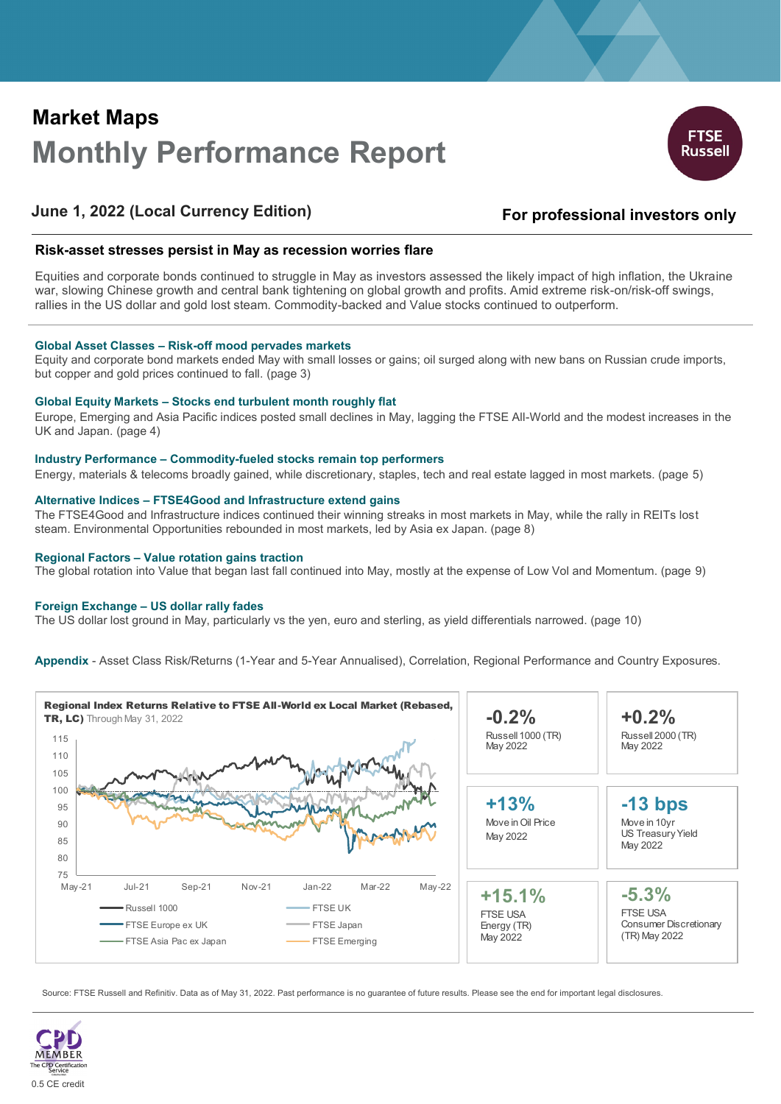# **Market Maps Monthly Performance Report**



## **June 1, 2022 (Local Currency Edition)**

## **For professional investors only**

## **Risk-asset stresses persist in May as recession worries flare**

Equities and corporate bonds continued to struggle in May as investors assessed the likely impact of high inflation, the Ukraine war, slowing Chinese growth and central bank tightening on global growth and profits. Amid extreme risk-on/risk-off swings, rallies in the US dollar and gold lost steam. Commodity-backed and Value stocks continued to outperform.

### **Global Asset Classes – Risk-off mood pervades markets**

Equity and corporate bond markets ended May with small losses or gains; oil surged along with new bans on Russian crude imports, but copper and gold prices continued to fall. (page 3)

### **Global Equity Markets – Stocks end turbulent month roughly flat**

Europe, Emerging and Asia Pacific indices posted small declines in May, lagging the FTSE All-World and the modest increases in the UK and Japan. (page 4)

### **Industry Performance – Commodity-fueled stocks remain top performers**

Energy, materials & telecoms broadly gained, while discretionary, staples, tech and real estate lagged in most markets. (page 5)

## **Alternative Indices – FTSE4Good and Infrastructure extend gains**

The FTSE4Good and Infrastructure indices continued their winning streaks in most markets in May, while the rally in REITs lost steam. Environmental Opportunities rebounded in most markets, led by Asia ex Japan. (page 8)

#### **Regional Factors – Value rotation gains traction**

The global rotation into Value that began last fall continued into May, mostly at the expense of Low Vol and Momentum. (page 9)

### **Foreign Exchange – US dollar rally fades**

The US dollar lost ground in May, particularly vs the yen, euro and sterling, as yield differentials narrowed. (page 10)

**Appendix** - Asset Class Risk/Returns (1-Year and 5-Year Annualised), Correlation, Regional Performance and Country Exposures.



Source: FTSE Russell and Refinitiv. Data as of May 31, 2022. Past performance is no guarantee of future results. Please see the end for important legal disclosures.

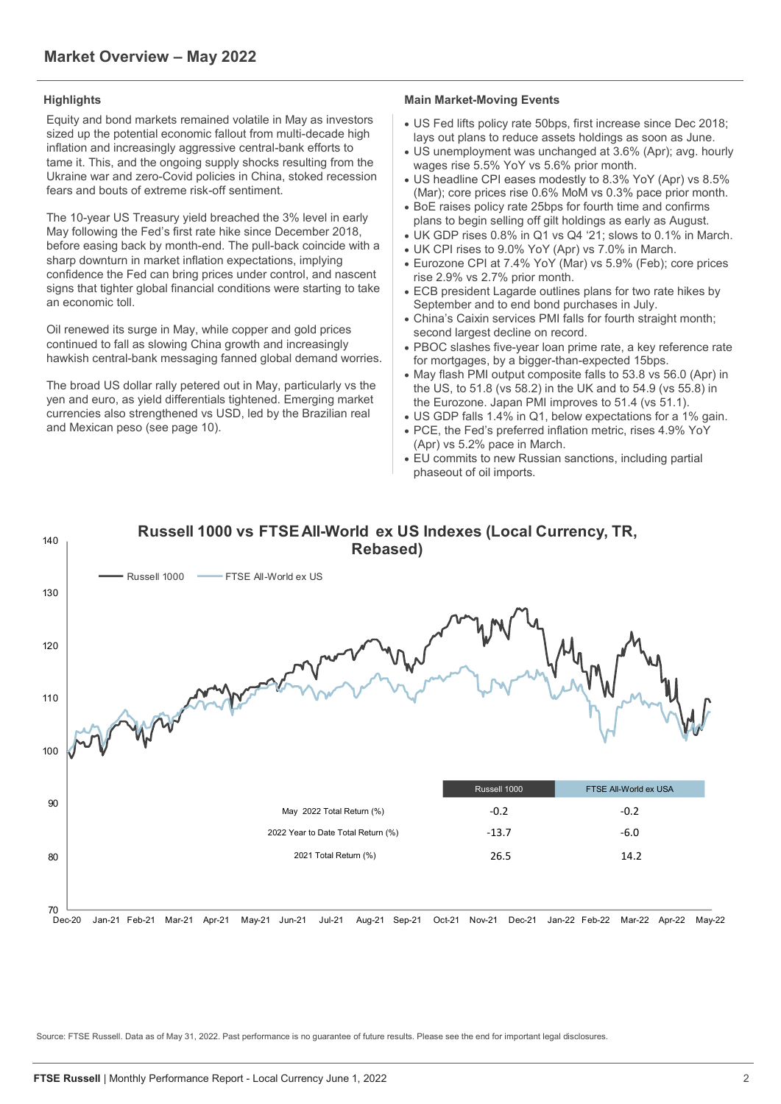Equity and bond markets remained volatile in May as investors sized up the potential economic fallout from multi-decade high inflation and increasingly aggressive central-bank efforts to tame it. This, and the ongoing supply shocks resulting from the Ukraine war and zero-Covid policies in China, stoked recession fears and bouts of extreme risk-off sentiment.

The 10-year US Treasury yield breached the 3% level in early May following the Fed's first rate hike since December 2018, before easing back by month-end. The pull-back coincide with a sharp downturn in market inflation expectations, implying confidence the Fed can bring prices under control, and nascent signs that tighter global financial conditions were starting to take an economic toll.

Oil renewed its surge in May, while copper and gold prices continued to fall as slowing China growth and increasingly hawkish central-bank messaging fanned global demand worries.

The broad US dollar rally petered out in May, particularly vs the yen and euro, as yield differentials tightened. Emerging market currencies also strengthened vs USD, led by the Brazilian real and Mexican peso (see page 10).

## **Highlights Main Market-Moving Events**

- US Fed lifts policy rate 50bps, first increase since Dec 2018; lays out plans to reduce assets holdings as soon as June.
- US unemployment was unchanged at 3.6% (Apr); avg. hourly wages rise 5.5% YoY vs 5.6% prior month.
- US headline CPI eases modestly to 8.3% YoY (Apr) vs 8.5% (Mar); core prices rise 0.6% MoM vs 0.3% pace prior month.
- BoE raises policy rate 25bps for fourth time and confirms plans to begin selling off gilt holdings as early as August. • UK GDP rises 0.8% in Q1 vs Q4 '21; slows to 0.1% in March.
- UK CPI rises to 9.0% YoY (Apr) vs 7.0% in March.
- Eurozone CPI at 7.4% YoY (Mar) vs 5.9% (Feb); core prices rise 2.9% vs 2.7% prior month.
- ECB president Lagarde outlines plans for two rate hikes by September and to end bond purchases in July.
- China's Caixin services PMI falls for fourth straight month; second largest decline on record.
- PBOC slashes five-year loan prime rate, a key reference rate for mortgages, by a bigger-than-expected 15bps.
- May flash PMI output composite falls to 53.8 vs 56.0 (Apr) in the US, to 51.8 (vs 58.2) in the UK and to 54.9 (vs 55.8) in the Eurozone. Japan PMI improves to 51.4 (vs 51.1).
- US GDP falls 1.4% in Q1, below expectations for a 1% gain.
- PCE, the Fed's preferred inflation metric, rises 4.9% YoY (Apr) vs 5.2% pace in March.
- EU commits to new Russian sanctions, including partial phaseout of oil imports.



Source: FTSE Russell. Data as of May 31, 2022. Past performance is no guarantee of future results. Please see the end for important legal disclosures.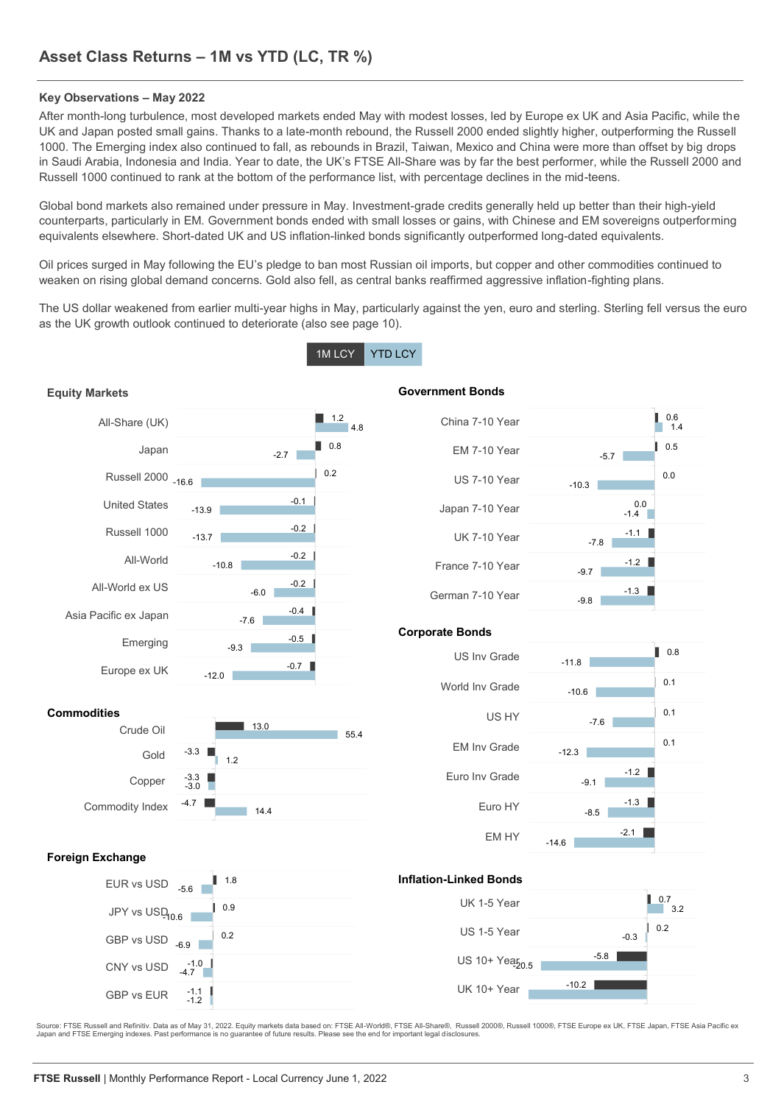## **Key Observations – May 2022**

After month-long turbulence, most developed markets ended May with modest losses, led by Europe ex UK and Asia Pacific, while the UK and Japan posted small gains. Thanks to a late-month rebound, the Russell 2000 ended slightly higher, outperforming the Russell 1000. The Emerging index also continued to fall, as rebounds in Brazil, Taiwan, Mexico and China were more than offset by big drops in Saudi Arabia, Indonesia and India. Year to date, the UK's FTSE All-Share was by far the best performer, while the Russell 2000 and Russell 1000 continued to rank at the bottom of the performance list, with percentage declines in the mid-teens.

Global bond markets also remained under pressure in May. Investment-grade credits generally held up better than their high-yield counterparts, particularly in EM. Government bonds ended with small losses or gains, with Chinese and EM sovereigns outperforming equivalents elsewhere. Short-dated UK and US inflation-linked bonds significantly outperformed long-dated equivalents.

Oil prices surged in May following the EU's pledge to ban most Russian oil imports, but copper and other commodities continued to weaken on rising global demand concerns. Gold also fell, as central banks reaffirmed aggressive inflation-fighting plans.

The US dollar weakened from earlier multi-year highs in May, particularly against the yen, euro and sterling. Sterling fell versus the euro as the UK growth outlook continued to deteriorate (also see page 10).

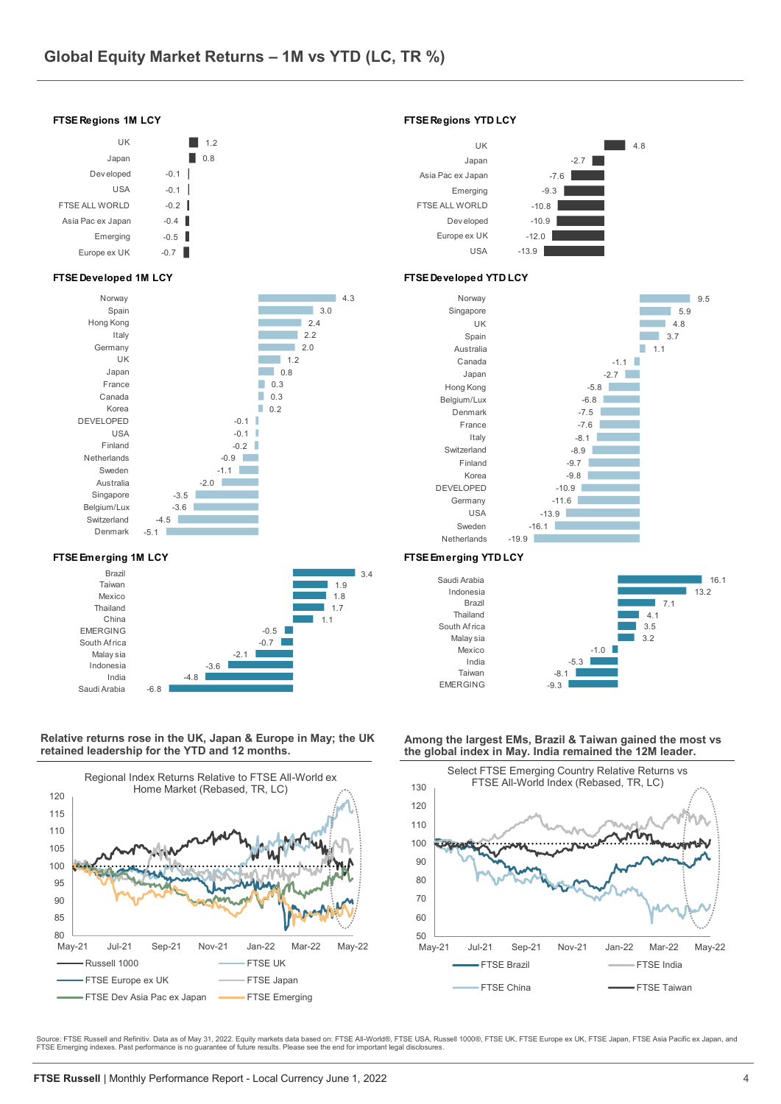

### **Relative returns rose in the UK, Japan & Europe in May; the UK retained leadership for the YTD and 12 months.**



**Among the largest EMs, Brazil & Taiwan gained the most vs the global index in May. India remained the 12M leader.** 



Source: FTSE Russell and Refinitiv. Data as of May 31, 2022. Equity markets data based on: FTSE All-World®, FTSE USA, Russell 1000®, FTSE UK, FTSE Europe ex UK, FTSE Japan, FTSE Asia Pacific ex Japan, and<br>FTSE Emerging ind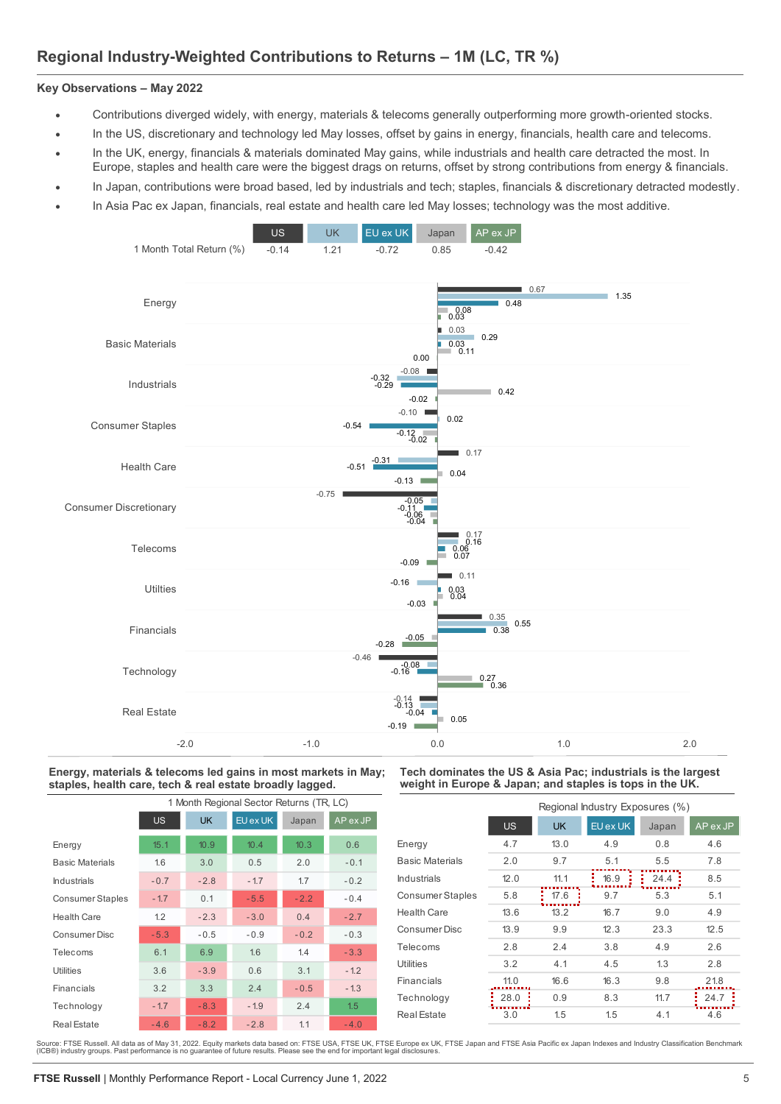## **Regional Industry-Weighted Contributions to Returns – 1M (LC, TR %)**

## **Key Observations ‒ May 2022**

- Contributions diverged widely, with energy, materials & telecoms generally outperforming more growth-oriented stocks.
- In the US, discretionary and technology led May losses, offset by gains in energy, financials, health care and telecoms.
- In the UK, energy, financials & materials dominated May gains, while industrials and health care detracted the most. In Europe, staples and health care were the biggest drags on returns, offset by strong contributions from energy & financials.
- In Japan, contributions were broad based, led by industrials and tech; staples, financials & discretionary detracted modestly.
- In Asia Pac ex Japan, financials, real estate and health care led May losses; technology was the most additive.



### **Energy, materials & telecoms led gains in most markets in May; staples, health care, tech & real estate broadly lagged.**

|                         | 1 Month Regional Sector Returns (TR, LC) |           |          |        |          |  |  |  |  |  |  |
|-------------------------|------------------------------------------|-----------|----------|--------|----------|--|--|--|--|--|--|
|                         | US.                                      | <b>UK</b> | EU ex UK | Japan  | AP ex JP |  |  |  |  |  |  |
| Energy                  | 15.1                                     | 10.9      | 10.4     | 10.3   | 0.6      |  |  |  |  |  |  |
| <b>Basic Materials</b>  | 1.6                                      | 3.0       | 0.5      | 2.0    | $-0.1$   |  |  |  |  |  |  |
| Industrials             | $-0.7$                                   | $-2.8$    | $-1.7$   | 1.7    | $-0.2$   |  |  |  |  |  |  |
| <b>Consumer Staples</b> | $-1.7$                                   | 0.1       | $-5.5$   | $-2.2$ | $-0.4$   |  |  |  |  |  |  |
| <b>Health Care</b>      | 1.2                                      | $-2.3$    | $-3.0$   | 0.4    | $-2.7$   |  |  |  |  |  |  |
| Consumer Disc           | $-5.3$                                   | $-0.5$    | $-0.9$   | $-0.2$ | $-0.3$   |  |  |  |  |  |  |
| Telecoms                | 6.1                                      | 6.9       | 1.6      | 1.4    | $-3.3$   |  |  |  |  |  |  |
| <b>Utilities</b>        | 3.6                                      | $-3.9$    | 0.6      | 3.1    | $-1.2$   |  |  |  |  |  |  |
| Financials              | 3.2                                      | 3.3       | 2.4      | $-0.5$ | $-1.3$   |  |  |  |  |  |  |
| Technology              | $-1.7$                                   | $-8.3$    | $-1.9$   | 2.4    | 1.5      |  |  |  |  |  |  |
| <b>Real Estate</b>      | $-4.6$                                   | $-8.2$    | $-2.8$   | 1.1    | $-4.0$   |  |  |  |  |  |  |

### **Tech dominates the US & Asia Pac; industrials is the largest weight in Europe & Japan; and staples is tops in the UK.**

|                         |           | Regional Industry Exposures (%) |          |           |          |  |  |  |  |  |  |
|-------------------------|-----------|---------------------------------|----------|-----------|----------|--|--|--|--|--|--|
|                         | <b>US</b> | <b>UK</b>                       | EU ex UK | Japan     | AP ex JP |  |  |  |  |  |  |
| Energy                  | 4.7       | 13.0                            | 4.9      | 0.8       | 4.6      |  |  |  |  |  |  |
| <b>Basic Materials</b>  | 2.0       | 9.7                             | 5.1      | 5.5       | 7.8      |  |  |  |  |  |  |
| Industrials             | 12.0      | 11.1                            | 16.9     | 24.4<br>÷ | 8.5      |  |  |  |  |  |  |
| <b>Consumer Staples</b> | 5.8       | 17.6                            | 9.7      | 5.3       | 5.1      |  |  |  |  |  |  |
| Health Care             | 13.6      | 13.2                            | 16.7     | 9.0       | 4.9      |  |  |  |  |  |  |
| Consumer Disc           | 13.9      | 9.9                             | 12.3     | 23.3      | 12.5     |  |  |  |  |  |  |
| Telecoms                | 2.8       | 2.4                             | 3.8      | 4.9       | 2.6      |  |  |  |  |  |  |
| Utilities               | 3.2       | 4.1                             | 4.5      | 1.3       | 2.8      |  |  |  |  |  |  |
| Financials              | 11.0      | 16.6                            | 16.3     | 9.8       | 21.8     |  |  |  |  |  |  |
| Technology              | 28.0      | 0.9                             | 8.3      | 11.7      | 24.7     |  |  |  |  |  |  |
| <b>Real Estate</b>      | 3.0       | 1.5                             | 1.5      | 4.1       | 4.6      |  |  |  |  |  |  |

Source: FTSE Russell. All data as of May 31, 2022. Equity markets data based on: FTSE USA, FTSE UK, FTSE Europe ex UK, FTSE Japan and FTSE Asia Pacific ex Japan Indexes and Industry Classification Benchmark<br>(ICB®) industry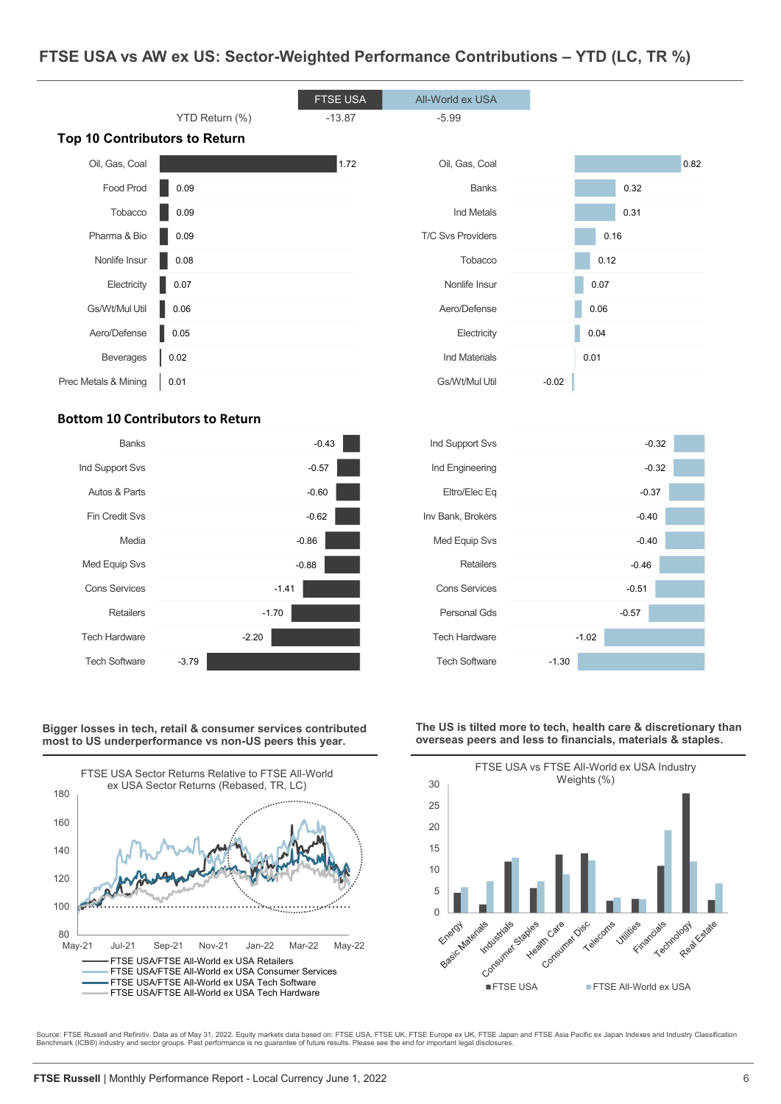## **FTSE USA vs AW ex US: Sector-Weighted Performance Contributions – YTD (LC, TR %)**



## **Bottom 10 Contributors to Return**



**Bigger losses in tech, retail & consumer services contributed most to US underperformance vs non-US peers this year.**









Source: FTSE Russell and Refinitiv. Data as of May 31, 2022. Equity markets data based on: FTSE USA, FTSE UK, FTSE Lurope ex UK, FTSE Japan and FTSE Asia Pacific ex Japan Indexes and Industry Classification<br>Benchmark (ICB®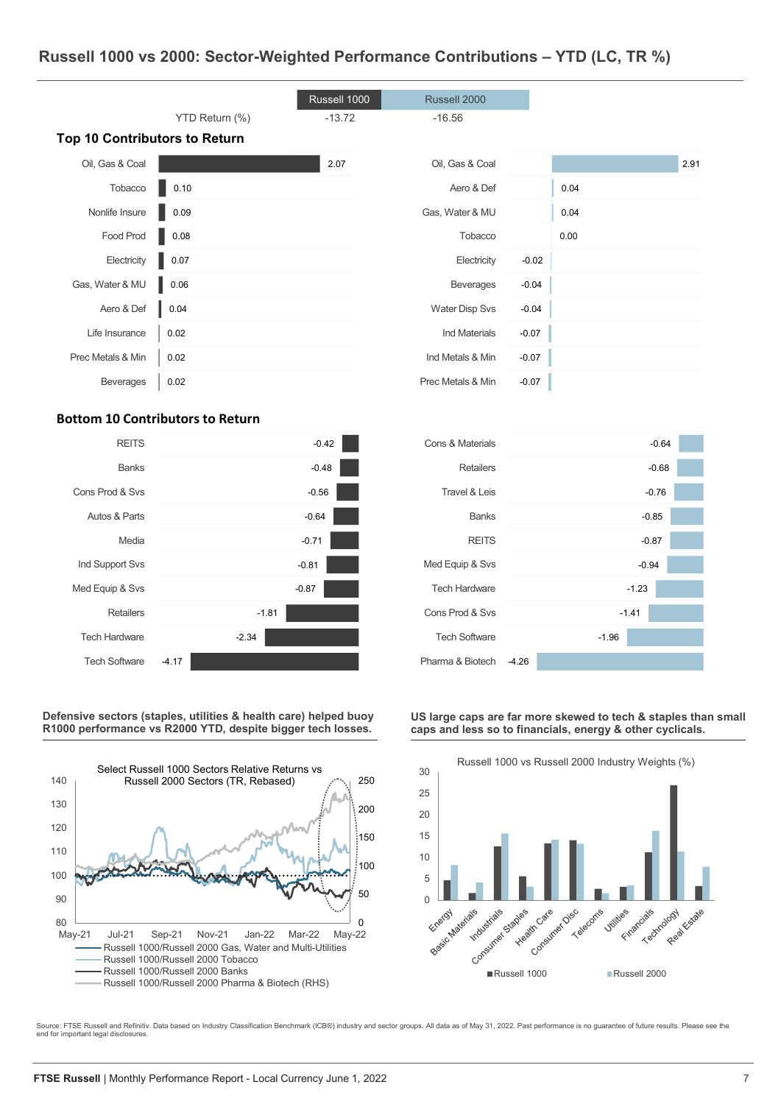## **Russell 1000 vs 2000: Sector-Weighted Performance Contributions – YTD (LC, TR %)**

|                                      |                | Russell 1000 | Russell 2000          |         |      |      |
|--------------------------------------|----------------|--------------|-----------------------|---------|------|------|
|                                      | YTD Return (%) | $-13.72$     | $-16.56$              |         |      |      |
| <b>Top 10 Contributors to Return</b> |                |              |                       |         |      |      |
| Oil, Gas & Coal                      |                | 2.07         | Oil, Gas & Coal       |         |      | 2.91 |
| Tobacco                              | 0.10           |              | Aero & Def            |         | 0.04 |      |
| Nonlife Insure                       | 0.09           |              | Gas, Water & MU       |         | 0.04 |      |
| Food Prod                            | 0.08           |              | Tobacco               |         | 0.00 |      |
| Electricity                          | 0.07           |              | Electricity           | $-0.02$ |      |      |
| Gas, Water & MU                      | 0.06           |              | <b>Beverages</b>      | $-0.04$ |      |      |
| Aero & Def                           | 0.04           |              | <b>Water Disp Svs</b> | $-0.04$ |      |      |
| Life Insurance                       | 0.02           |              | Ind Materials         | $-0.07$ |      |      |
| Prec Metals & Min                    | 0.02           |              | Ind Metals & Min      | $-0.07$ |      |      |
| Beverages                            | 0.02           |              | Prec Metals & Min     | $-0.07$ |      |      |

## **Bottom 10 Contributors to Return**



**Defensive sectors (staples, utilities & health care) helped buoy R1000 performance vs R2000 YTD, despite bigger tech losses.** 



| Retailers<br>$-0.68$<br>Travel & Leis<br>$-0.76$<br><b>Banks</b><br>$-0.85$ |  |
|-----------------------------------------------------------------------------|--|
|                                                                             |  |
|                                                                             |  |
|                                                                             |  |
| <b>REITS</b><br>$-0.87$                                                     |  |
| Med Equip & Svs<br>$-0.94$                                                  |  |
| <b>Tech Hardware</b><br>$-1.23$                                             |  |
| Cons Prod & Svs<br>$-1.41$                                                  |  |
| <b>Tech Software</b><br>$-1.96$                                             |  |
| Pharma & Biotech<br>$-4.26$                                                 |  |

#### **US large caps are far more skewed to tech & staples than small caps and less so to financials, energy & other cyclicals.**



Source: FTSE Russell and Refinitiv. Data based on Industry Classification Benchmark (ICB®) industry and sector groups. All data as of May 31, 2022. Past performance is no guarantee of future results. Please see the end for important legal disclosures.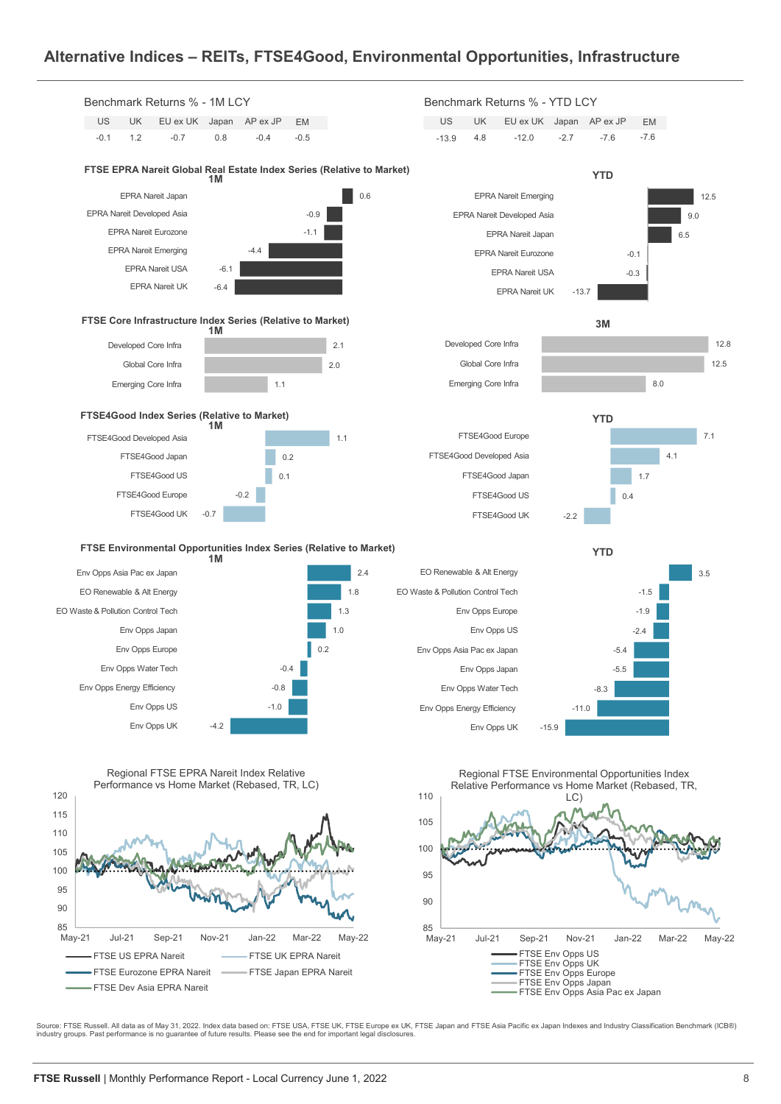## **Alternative Indices – REITs, FTSE4Good, Environmental Opportunities, Infrastructure**



Source: FTSE Russell. All data as of May 31, 2022. Index data based on: FTSE USA, FTSE UiK, FTSE Europe ex UK, FTSE Japan and FTSE Asia Pacific ex Japan Indexes and Industry Classification Benchmark (ICB®)<br>industry groups.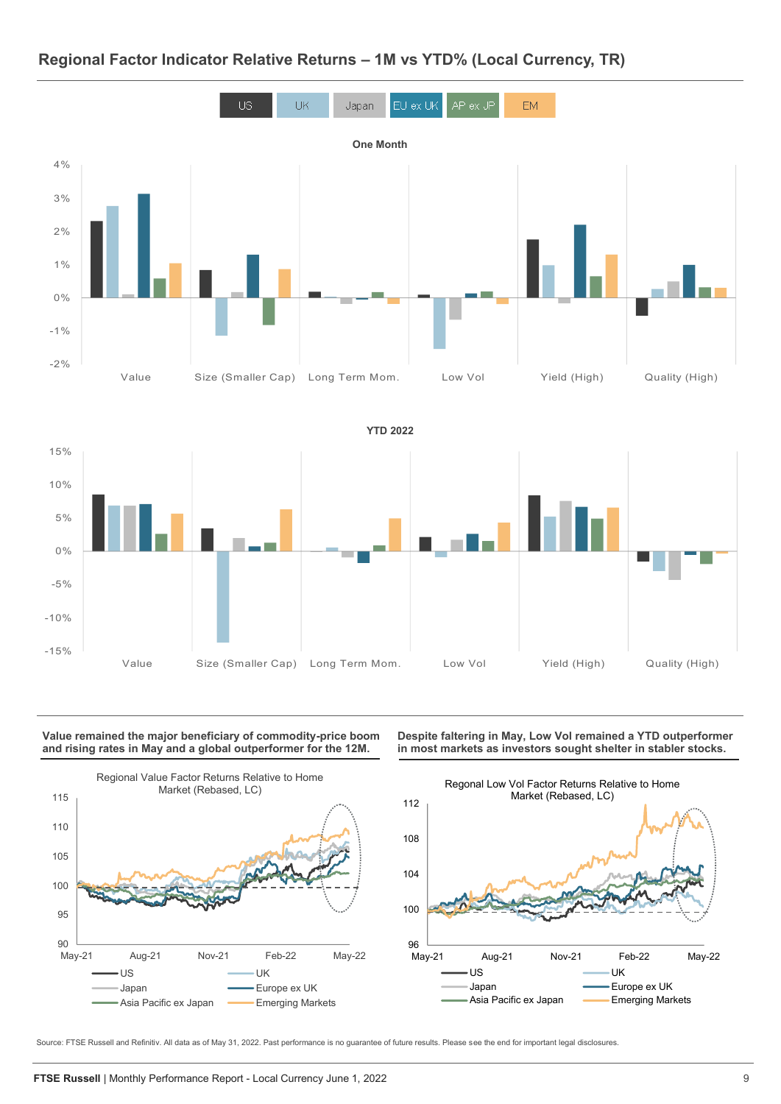

## **Regional Factor Indicator Relative Returns – 1M vs YTD% (Local Currency, TR)**



#### **Value remained the major beneficiary of commodity-price boom and rising rates in May and a global outperformer for the 12M.**



**Despite faltering in May, Low Vol remained a YTD outperformer in most markets as investors sought shelter in stabler stocks.** 



Source: FTSE Russell and Refinitiv. All data as of May 31, 2022. Past performance is no guarantee of future results. Please see the end for important legal disclosures.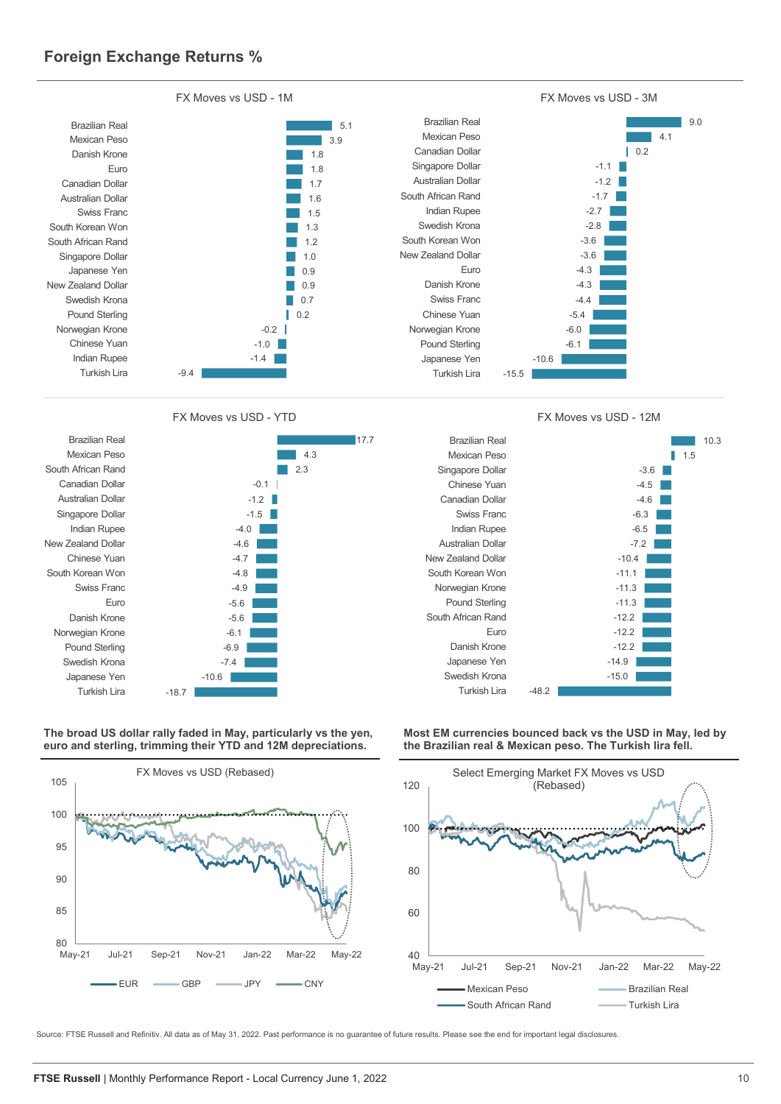

17.7

FX Moves vs USD - YTD FX Moves vs USD - 12M



**The broad US dollar rally faded in May, particularly vs the yen, euro and sterling, trimming their YTD and 12M depreciations.** 









**Most EM currencies bounced back vs the USD in May, led by the Brazilian real & Mexican peso. The Turkish lira fell.**

Source: FTSE Russell and Refinitiv. All data as of May 31, 2022. Past performance is no guarantee of future results. Please see the end for important legal disclosures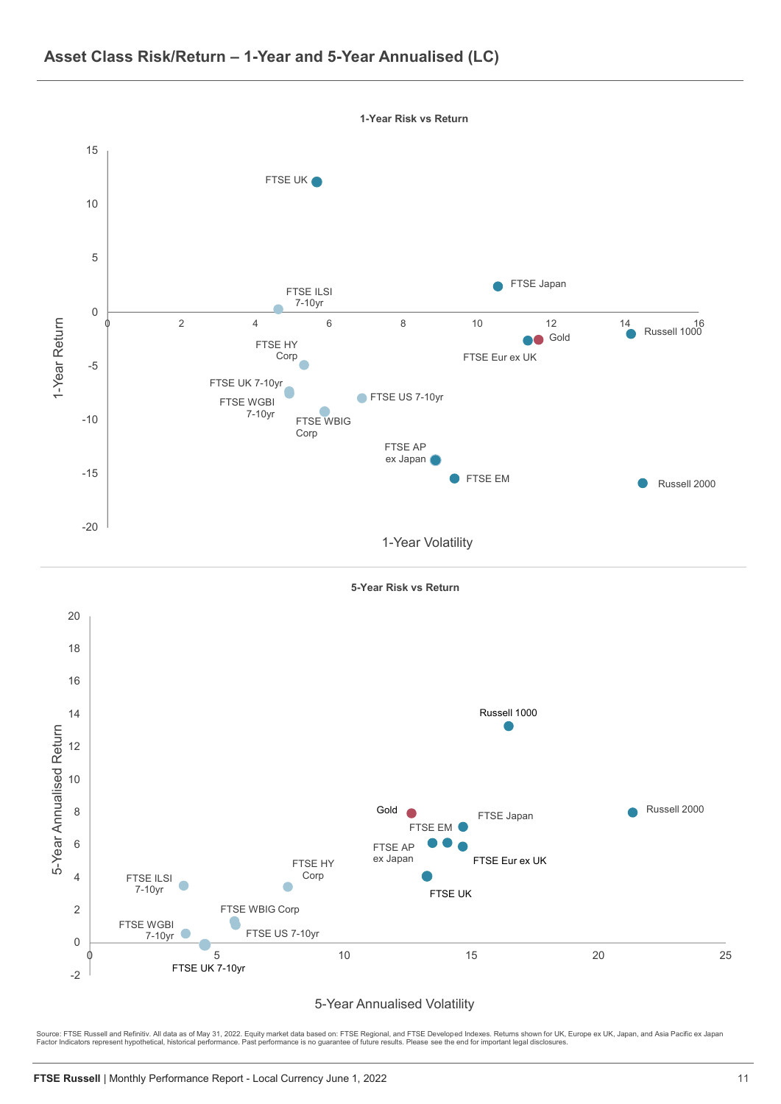





### 5-Year Annualised Volatility

Source: FTSE Russell and Refinitiv. All data as of May 31, 2022. Equity market data based on: FTSE Regional, and FTSE Developed Indexes. Returns shown for UK, Europe ex UK, Japan, and Asia Pacific ex Japan<br>Factor Indicator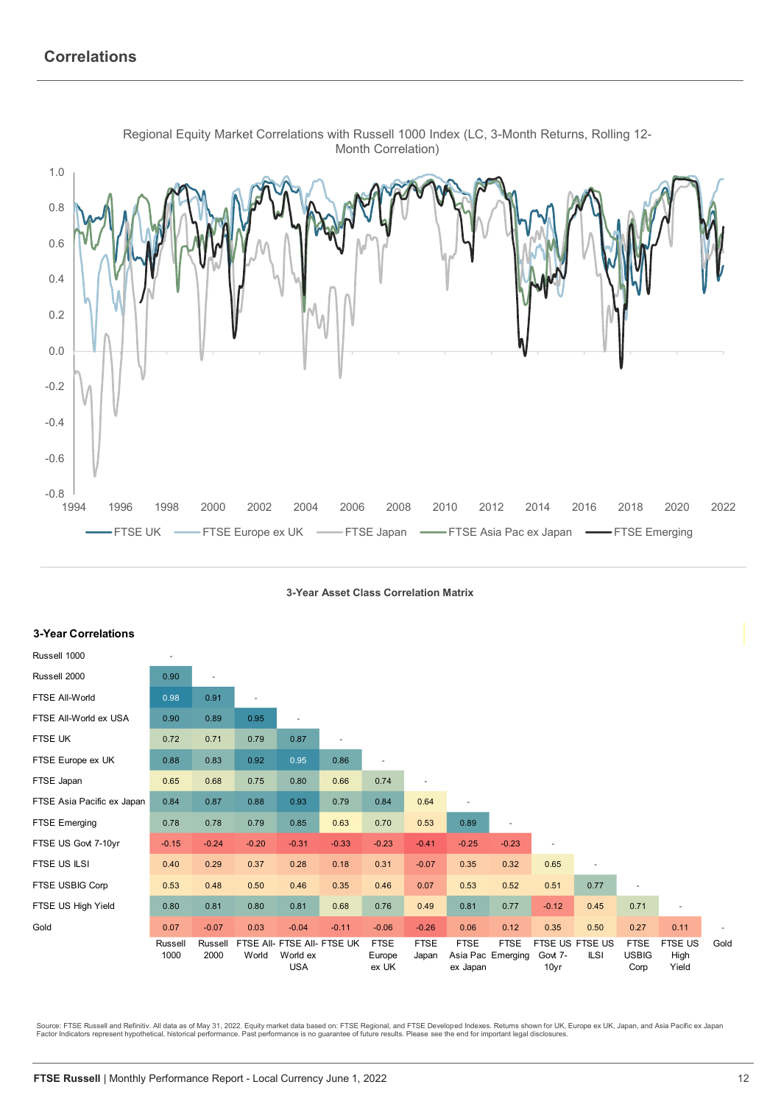

Regional Equity Market Correlations with Russell 1000 Index (LC, 3-Month Returns, Rolling 12-

**3-Year Asset Class Correlation Matrix**

| <b>3-Year Correlations</b> |                          |                 |                          |                        |                             |                                |                      |                                              |                          |                                    |             |                                     |                                 |      |
|----------------------------|--------------------------|-----------------|--------------------------|------------------------|-----------------------------|--------------------------------|----------------------|----------------------------------------------|--------------------------|------------------------------------|-------------|-------------------------------------|---------------------------------|------|
| Russell 1000               | $\overline{\phantom{a}}$ |                 |                          |                        |                             |                                |                      |                                              |                          |                                    |             |                                     |                                 |      |
| Russell 2000               | 0.90                     | $\overline{a}$  |                          |                        |                             |                                |                      |                                              |                          |                                    |             |                                     |                                 |      |
| FTSE All-World             | 0.98                     | 0.91            | $\overline{\phantom{a}}$ |                        |                             |                                |                      |                                              |                          |                                    |             |                                     |                                 |      |
| FTSE All-World ex USA      | 0.90                     | 0.89            | 0.95                     | $\blacksquare$         |                             |                                |                      |                                              |                          |                                    |             |                                     |                                 |      |
| FTSE UK                    | 0.72                     | 0.71            | 0.79                     | 0.87                   | $\overline{\phantom{a}}$    |                                |                      |                                              |                          |                                    |             |                                     |                                 |      |
| FTSE Europe ex UK          | 0.88                     | 0.83            | 0.92                     | 0.95                   | 0.86                        |                                |                      |                                              |                          |                                    |             |                                     |                                 |      |
| FTSE Japan                 | 0.65                     | 0.68            | 0.75                     | 0.80                   | 0.66                        | 0.74                           |                      |                                              |                          |                                    |             |                                     |                                 |      |
| FTSE Asia Pacific ex Japan | 0.84                     | 0.87            | 0.88                     | 0.93                   | 0.79                        | 0.84                           | 0.64                 |                                              |                          |                                    |             |                                     |                                 |      |
| FTSE Emerging              | 0.78                     | 0.78            | 0.79                     | 0.85                   | 0.63                        | 0.70                           | 0.53                 | 0.89                                         | $\overline{\phantom{a}}$ |                                    |             |                                     |                                 |      |
| FTSE US Govt 7-10yr        | $-0.15$                  | $-0.24$         | $-0.20$                  | $-0.31$                | $-0.33$                     | $-0.23$                        | $-0.41$              | $-0.25$                                      | $-0.23$                  | $\overline{\phantom{a}}$           |             |                                     |                                 |      |
| FTSE US ILSI               | 0.40                     | 0.29            | 0.37                     | 0.28                   | 0.18                        | 0.31                           | $-0.07$              | 0.35                                         | 0.32                     | 0.65                               |             |                                     |                                 |      |
| FTSE USBIG Corp            | 0.53                     | 0.48            | 0.50                     | 0.46                   | 0.35                        | 0.46                           | 0.07                 | 0.53                                         | 0.52                     | 0.51                               | 0.77        | $\overline{\phantom{a}}$            |                                 |      |
| FTSE US High Yield         | 0.80                     | 0.81            | 0.80                     | 0.81                   | 0.68                        | 0.76                           | 0.49                 | 0.81                                         | 0.77                     | $-0.12$                            | 0.45        | 0.71                                | ٠                               |      |
| Gold                       | 0.07                     | $-0.07$         | 0.03                     | $-0.04$                | $-0.11$                     | $-0.06$                        | $-0.26$              | 0.06                                         | 0.12                     | 0.35                               | 0.50        | 0.27                                | 0.11                            |      |
|                            | Russell<br>1000          | Russell<br>2000 | World                    | World ex<br><b>USA</b> | FTSE AII- FTSE AII- FTSE UK | <b>FTSE</b><br>Europe<br>ex UK | <b>FTSE</b><br>Japan | <b>FTSE</b><br>Asia Pac Emerging<br>ex Japan | <b>FTSE</b>              | FTSE US FTSE US<br>Govt 7-<br>10yr | <b>ILSI</b> | <b>FTSE</b><br><b>USBIG</b><br>Corp | <b>FTSE US</b><br>High<br>Yield | Gold |

Source: FTSE Russell and Refinitiv. All data as of May 31, 2022. Equity market data based on: FTSE Regional, and FTSE Developed Indexes. Returns shown for UK, Europe ex UK, Japan, and Asia Pacific ex Japan<br>Factor Indicator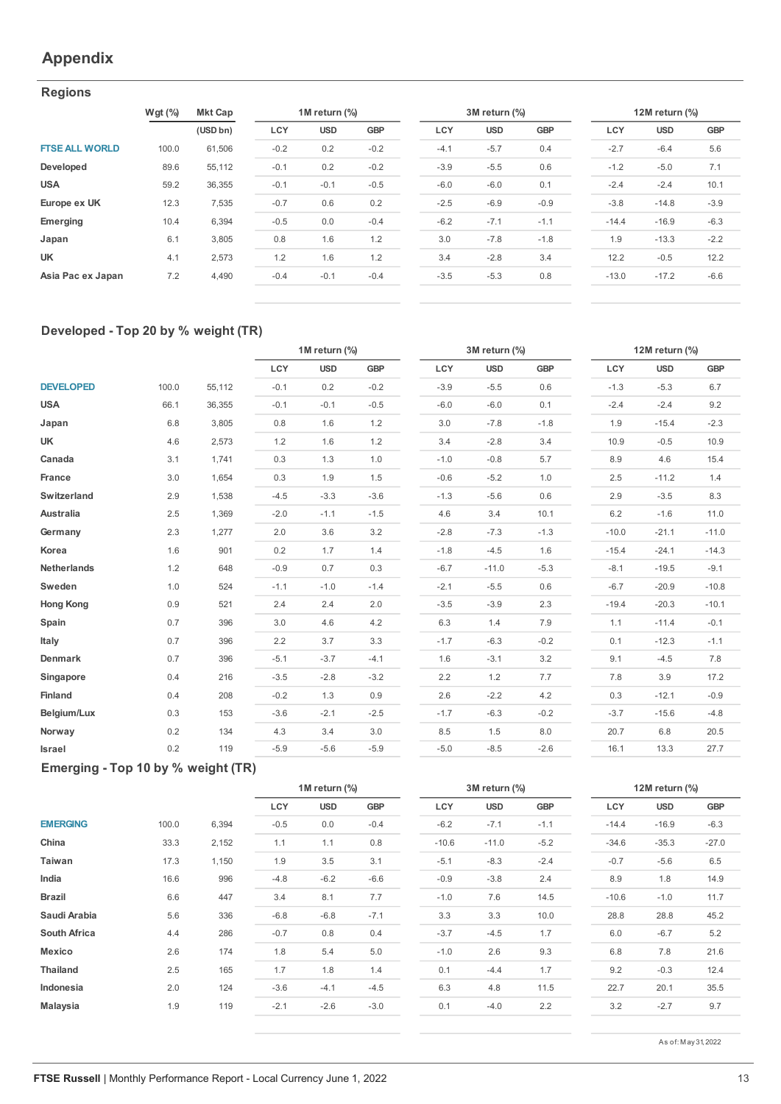## **Appendix**

## **Regions**

|                       | $Wgt$ (%) | <b>Mkt Cap</b> |        | 1M return (%) |            | 3M return (%) |            |            |         | 12M return (%) |            |  |  |
|-----------------------|-----------|----------------|--------|---------------|------------|---------------|------------|------------|---------|----------------|------------|--|--|
|                       |           | (USD bn)       | LCY    | <b>USD</b>    | <b>GBP</b> | LCY           | <b>USD</b> | <b>GBP</b> | LCY     | <b>USD</b>     | <b>GBP</b> |  |  |
| <b>FTSE ALL WORLD</b> | 100.0     | 61.506         | $-0.2$ | 0.2           | $-0.2$     | $-4.1$        | $-5.7$     | 0.4        | $-2.7$  | $-6.4$         | 5.6        |  |  |
| Developed             | 89.6      | 55,112         | $-0.1$ | 0.2           | $-0.2$     | $-3.9$        | $-5.5$     | 0.6        | $-1.2$  | $-5.0$         | 7.1        |  |  |
| <b>USA</b>            | 59.2      | 36,355         | $-0.1$ | $-0.1$        | $-0.5$     | $-6.0$        | $-6.0$     | 0.1        | $-2.4$  | $-2.4$         | 10.1       |  |  |
| Europe ex UK          | 12.3      | 7,535          | $-0.7$ | 0.6           | 0.2        | $-2.5$        | $-6.9$     | $-0.9$     | $-3.8$  | $-14.8$        | $-3.9$     |  |  |
| Emerging              | 10.4      | 6.394          | $-0.5$ | 0.0           | $-0.4$     | $-6.2$        | $-7.1$     | $-1.1$     | $-14.4$ | $-16.9$        | $-6.3$     |  |  |
| Japan                 | 6.1       | 3.805          | 0.8    | 1.6           | 1.2        | 3.0           | $-7.8$     | $-1.8$     | 1.9     | $-13.3$        | $-2.2$     |  |  |
| <b>UK</b>             | 4.1       | 2.573          | 1.2    | 1.6           | 1.2        | 3.4           | $-2.8$     | 3.4        | 12.2    | $-0.5$         | 12.2       |  |  |
| Asia Pac ex Japan     | 7.2       | 4.490          | $-0.4$ | $-0.1$        | $-0.4$     | $-3.5$        | $-5.3$     | 0.8        | $-13.0$ | $-17.2$        | $-6.6$     |  |  |

| 1M return (%) |            |            | 3M return (%) |            | 12M return (%) |            |  |  |
|---------------|------------|------------|---------------|------------|----------------|------------|--|--|
| <b>USD</b>    | <b>GBP</b> | <b>LCY</b> | <b>USD</b>    | <b>GBP</b> | LCY            | <b>USD</b> |  |  |
| 0.2           | $-0.2$     | $-4.1$     | $-5.7$        | 0.4        | $-2.7$         | $-6.4$     |  |  |
| 0.2           | $-0.2$     | $-3.9$     | $-5.5$        | 0.6        | $-1.2$         | $-5.0$     |  |  |
| $-0.1$        | $-0.5$     | $-6.0$     | $-6.0$        | 0.1        | $-2.4$         | $-2.4$     |  |  |
| 0.6           | 0.2        | $-2.5$     | $-6.9$        | $-0.9$     | $-3.8$         | $-14.8$    |  |  |
| 0.0           | $-0.4$     | $-6.2$     | $-7.1$        | $-1.1$     | $-14.4$        | $-16.9$    |  |  |
| 1.6           | 1.2        | 3.0        | $-7.8$        | $-1.8$     | 1.9            | $-13.3$    |  |  |
| 1.6           | 1.2        | 3.4        | $-2.8$        | 3.4        | 12.2           | $-0.5$     |  |  |
| $-0.1$        | $-0.4$     | $-3.5$     | $-5.3$        | 0.8        | $-13.0$        | $-17.2$    |  |  |
|               |            |            |               |            |                |            |  |  |

| 12M return (%) |         |        |  |  |  |  |  |  |
|----------------|---------|--------|--|--|--|--|--|--|
| LCY            | usd     | GBP    |  |  |  |  |  |  |
| $-2.7$         | $-6.4$  | 5.6    |  |  |  |  |  |  |
| $-1.2$         | $-5.0$  | 7.1    |  |  |  |  |  |  |
| $-24$          | $-24$   | 10.1   |  |  |  |  |  |  |
| $-3.8$         | $-148$  | $-3.9$ |  |  |  |  |  |  |
| $-14.4$        | $-16.9$ | $-6.3$ |  |  |  |  |  |  |
| 19             | $-13.3$ | $-22$  |  |  |  |  |  |  |
| 12.2           | $-0.5$  | 122    |  |  |  |  |  |  |
| $-13.0$        | $-17.2$ | $-6.6$ |  |  |  |  |  |  |
|                |         |        |  |  |  |  |  |  |

## **Developed - Top 20 by % weight (TR)**

|                    |       |        | 1M return (%) |            |            | 3M return (%) |            |            | 12M return (%) |            |            |  |
|--------------------|-------|--------|---------------|------------|------------|---------------|------------|------------|----------------|------------|------------|--|
|                    |       |        | LCY           | <b>USD</b> | <b>GBP</b> | LCY           | <b>USD</b> | <b>GBP</b> | LCY            | <b>USD</b> | <b>GBP</b> |  |
| <b>DEVELOPED</b>   | 100.0 | 55,112 | $-0.1$        | 0.2        | $-0.2$     | $-3.9$        | $-5.5$     | 0.6        | $-1.3$         | $-5.3$     | 6.7        |  |
| <b>USA</b>         | 66.1  | 36,355 | $-0.1$        | $-0.1$     | $-0.5$     | $-6.0$        | $-6.0$     | 0.1        | $-2.4$         | $-2.4$     | 9.2        |  |
| Japan              | 6.8   | 3,805  | 0.8           | 1.6        | 1.2        | 3.0           | $-7.8$     | $-1.8$     | 1.9            | $-15.4$    | $-2.3$     |  |
| UK                 | 4.6   | 2,573  | 1.2           | 1.6        | 1.2        | 3.4           | $-2.8$     | 3.4        | 10.9           | $-0.5$     | 10.9       |  |
| Canada             | 3.1   | 1,741  | 0.3           | 1.3        | 1.0        | $-1.0$        | $-0.8$     | 5.7        | 8.9            | 4.6        | 15.4       |  |
| France             | 3.0   | 1,654  | 0.3           | 1.9        | 1.5        | $-0.6$        | $-5.2$     | 1.0        | 2.5            | $-11.2$    | 1.4        |  |
| Switzerland        | 2.9   | 1,538  | $-4.5$        | $-3.3$     | $-3.6$     | $-1.3$        | $-5.6$     | 0.6        | 2.9            | $-3.5$     | 8.3        |  |
| Australia          | 2.5   | 1,369  | $-2.0$        | $-1.1$     | $-1.5$     | 4.6           | 3.4        | 10.1       | 6.2            | $-1.6$     | 11.0       |  |
| Germany            | 2.3   | 1,277  | 2.0           | 3.6        | 3.2        | $-2.8$        | $-7.3$     | $-1.3$     | $-10.0$        | $-21.1$    | $-11.0$    |  |
| Korea              | 1.6   | 901    | 0.2           | 1.7        | 1.4        | $-1.8$        | $-4.5$     | 1.6        | $-15.4$        | $-24.1$    | $-14.3$    |  |
| <b>Netherlands</b> | 1.2   | 648    | $-0.9$        | 0.7        | 0.3        | $-6.7$        | $-11.0$    | $-5.3$     | $-8.1$         | $-19.5$    | $-9.1$     |  |
| Sweden             | 1.0   | 524    | $-1.1$        | $-1.0$     | $-1.4$     | $-2.1$        | $-5.5$     | 0.6        | $-6.7$         | $-20.9$    | $-10.8$    |  |
| <b>Hong Kong</b>   | 0.9   | 521    | 2.4           | 2.4        | 2.0        | $-3.5$        | $-3.9$     | 2.3        | $-19.4$        | $-20.3$    | $-10.1$    |  |
| Spain              | 0.7   | 396    | 3.0           | 4.6        | 4.2        | 6.3           | 1.4        | 7.9        | 1.1            | $-11.4$    | $-0.1$     |  |
| Italy              | 0.7   | 396    | 2.2           | 3.7        | 3.3        | $-1.7$        | $-6.3$     | $-0.2$     | 0.1            | $-12.3$    | $-1.1$     |  |
| Denmark            | 0.7   | 396    | $-5.1$        | $-3.7$     | $-4.1$     | 1.6           | $-3.1$     | 3.2        | 9.1            | $-4.5$     | 7.8        |  |
| Singapore          | 0.4   | 216    | $-3.5$        | $-2.8$     | $-3.2$     | 2.2           | 1.2        | 7.7        | 7.8            | 3.9        | 17.2       |  |
| Finland            | 0.4   | 208    | $-0.2$        | 1.3        | 0.9        | 2.6           | $-2.2$     | 4.2        | 0.3            | $-12.1$    | $-0.9$     |  |
| Belgium/Lux        | 0.3   | 153    | $-3.6$        | $-2.1$     | $-2.5$     | $-1.7$        | $-6.3$     | $-0.2$     | $-3.7$         | $-15.6$    | $-4.8$     |  |
| Norway             | 0.2   | 134    | 4.3           | 3.4        | 3.0        | 8.5           | 1.5        | 8.0        | 20.7           | 6.8        | 20.5       |  |
| Israel             | 0.2   | 119    | $-5.9$        | $-5.6$     | $-5.9$     | $-5.0$        | $-8.5$     | $-2.6$     | 16.1           | 13.3       | 27.7       |  |

|         | 12M return (%) |            |
|---------|----------------|------------|
| LCY     | <b>USD</b>     | <b>GBP</b> |
| $-1.3$  | $-5.3$         | 6.7        |
| $-2.4$  | $-2.4$         | 9.2        |
| 1.9     | $-15.4$        | $-2.3$     |
| 10.9    | $-0.5$         | 10.9       |
| 8.9     | 4.6            | 15.4       |
| 2.5     | $-11.2$        | 1.4        |
| 2.9     | $-3.5$         | 8.3        |
| 6.2     | $-1.6$         | 11.0       |
| $-10.0$ | $-21.1$        | $-11.0$    |
| $-15.4$ | $-24.1$        | $-14.3$    |
| $-8.1$  | $-19.5$        | $-9.1$     |
| $-6.7$  | $-20.9$        | $-10.8$    |
| $-19.4$ | $-20.3$        | $-10.1$    |
| 1.1     | $-11.4$        | $-0.1$     |
| 0.1     | $-12.3$        | $-1.1$     |
| 9.1     | $-4.5$         | 7.8        |
| 7.8     | 3.9            | 17.2       |
| 0.3     | $-12.1$        | $-0.9$     |
| $-3.7$  | $-15.6$        | $-4.8$     |
| 20.7    | 6.8            | 20.5       |
| 16.1    | 13.3           | 27.7       |

## **Emerging - Top 10 by % weight (TR)**

|                     |       |       |        | 1M return (%) |            |         | 3M return (%) |        |         | 12M return (%) |            |  |  |
|---------------------|-------|-------|--------|---------------|------------|---------|---------------|--------|---------|----------------|------------|--|--|
|                     |       |       | LCY    | <b>USD</b>    | <b>GBP</b> | LCY     | <b>USD</b>    | GBP    | LCY     | <b>USD</b>     | <b>GBP</b> |  |  |
| <b>EMERGING</b>     | 100.0 | 6,394 | $-0.5$ | 0.0           | $-0.4$     | $-6.2$  | $-7.1$        | $-1.1$ | $-14.4$ | $-16.9$        | $-6.3$     |  |  |
| China               | 33.3  | 2,152 | 1.1    | 1.1           | 0.8        | $-10.6$ | $-11.0$       | $-5.2$ | $-34.6$ | $-35.3$        | $-27.0$    |  |  |
| Taiwan              | 17.3  | 1,150 | 1.9    | 3.5           | 3.1        | $-5.1$  | $-8.3$        | $-2.4$ | $-0.7$  | $-5.6$         | 6.5        |  |  |
| India               | 16.6  | 996   | $-4.8$ | $-6.2$        | $-6.6$     | $-0.9$  | $-3.8$        | 2.4    | 8.9     | 1.8            | 14.9       |  |  |
| <b>Brazil</b>       | 6.6   | 447   | 3.4    | 8.1           | 7.7        | $-1.0$  | 7.6           | 14.5   | $-10.6$ | $-1.0$         | 11.7       |  |  |
| Saudi Arabia        | 5.6   | 336   | $-6.8$ | $-6.8$        | $-7.1$     | 3.3     | 3.3           | 10.0   | 28.8    | 28.8           | 45.2       |  |  |
| <b>South Africa</b> | 4.4   | 286   | $-0.7$ | 0.8           | 0.4        | $-3.7$  | $-4.5$        | 1.7    | 6.0     | $-6.7$         | 5.2        |  |  |
| <b>Mexico</b>       | 2.6   | 174   | 1.8    | 5.4           | 5.0        | $-1.0$  | 2.6           | 9.3    | 6.8     | 7.8            | 21.6       |  |  |
| <b>Thailand</b>     | 2.5   | 165   | 1.7    | 1.8           | 1.4        | 0.1     | $-4.4$        | 1.7    | 9.2     | $-0.3$         | 12.4       |  |  |
| Indonesia           | 2.0   | 124   | $-3.6$ | $-4.1$        | $-4.5$     | 6.3     | 4.8           | 11.5   | 22.7    | 20.1           | 35.5       |  |  |
| <b>Malaysia</b>     | 1.9   | 119   | $-2.1$ | $-2.6$        | $-3.0$     | 0.1     | $-4.0$        | 2.2    | 3.2     | $-2.7$         | 9.7        |  |  |
|                     |       |       |        |               |            |         |               |        |         |                |            |  |  |

| 3M return (%) |            |            |  |  |  |  |  |  |
|---------------|------------|------------|--|--|--|--|--|--|
| LCY           | <b>USD</b> | <b>GBP</b> |  |  |  |  |  |  |
| $-6.2$        | $-7.1$     | $-1.1$     |  |  |  |  |  |  |
| $-10.6$       | $-11.0$    | $-5.2$     |  |  |  |  |  |  |
| $-5.1$        | $-8.3$     | $-2.4$     |  |  |  |  |  |  |
| $-0.9$        | $-3.8$     | 2.4        |  |  |  |  |  |  |
| $-1.0$        | 7.6        | 14.5       |  |  |  |  |  |  |
| 3.3           | 3.3        | 10.0       |  |  |  |  |  |  |
| $-3.7$        | $-4.5$     | 1.7        |  |  |  |  |  |  |
| $-1.0$        | 2.6        | 9.3        |  |  |  |  |  |  |
| 0.1           | $-44$      | 1.7        |  |  |  |  |  |  |
| 6.3           | 4.8        | 11.5       |  |  |  |  |  |  |
| 0.1           | $-4.0$     | 2.2        |  |  |  |  |  |  |

| 12M return (%) |         |            |
|----------------|---------|------------|
| LCY            | USD     | <b>GBP</b> |
| $-14.4$        | $-16.9$ | $-6.3$     |
| $-34.6$        | $-35.3$ | $-27.0$    |
| $-0.7$         | $-5.6$  | 6.5        |
| 8.9            | 1.8     | 14.9       |
| $-10.6$        | $-1.0$  | 11.7       |
| 28.8           | 28.8    | 45.2       |
| 6.0            | $-6.7$  | 5.2        |
| 6.8            | 7.8     | 21.6       |
| 9.2            | $-0.3$  | 12.4       |
| 22.7           | 20.1    | 35.5       |
| 3.2            | $-2.7$  | 9.7        |
|                |         |            |

As of: M ay 31, 2022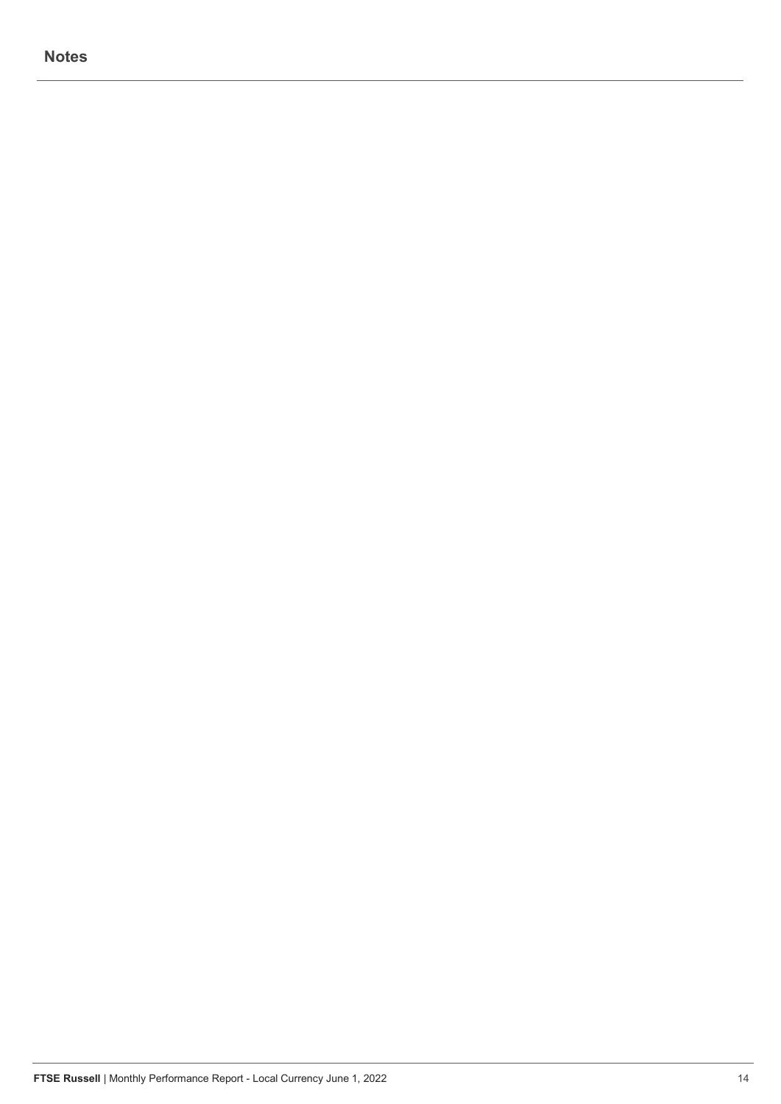## **Notes**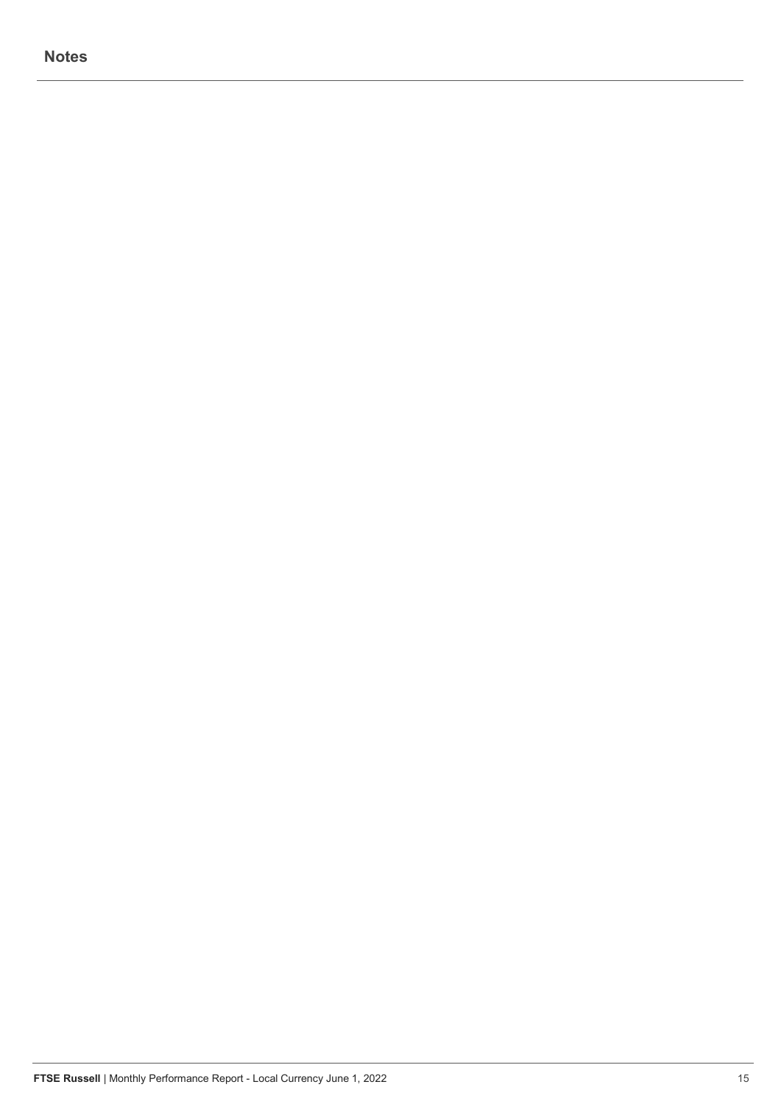## **Notes**